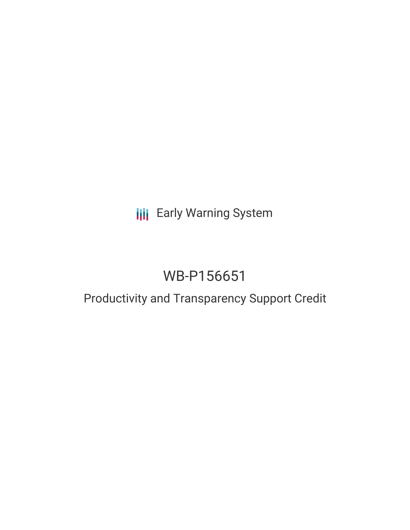## **III** Early Warning System

# WB-P156651

### Productivity and Transparency Support Credit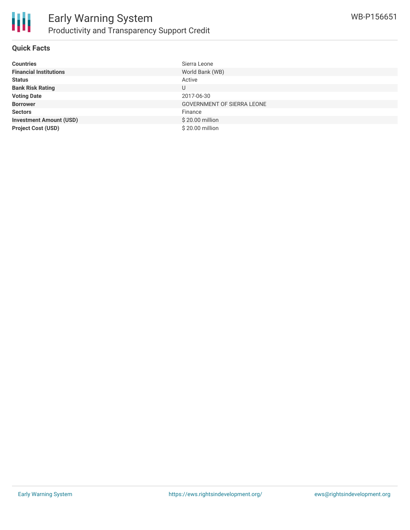

#### **Quick Facts**

| <b>Countries</b>               | Sierra Leone                      |
|--------------------------------|-----------------------------------|
| <b>Financial Institutions</b>  | World Bank (WB)                   |
| <b>Status</b>                  | Active                            |
| <b>Bank Risk Rating</b>        | U                                 |
| <b>Voting Date</b>             | 2017-06-30                        |
| <b>Borrower</b>                | <b>GOVERNMENT OF SIERRA LEONE</b> |
| <b>Sectors</b>                 | Finance                           |
| <b>Investment Amount (USD)</b> | \$20.00 million                   |
| <b>Project Cost (USD)</b>      | \$20.00 million                   |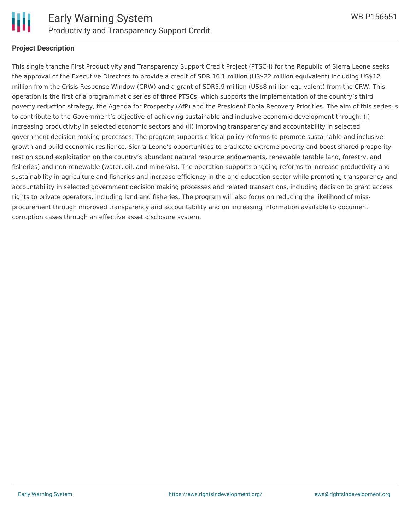

#### **Project Description**

This single tranche First Productivity and Transparency Support Credit Project (PTSC-I) for the Republic of Sierra Leone seeks the approval of the Executive Directors to provide a credit of SDR 16.1 million (US\$22 million equivalent) including US\$12 million from the Crisis Response Window (CRW) and a grant of SDR5.9 million (US\$8 million equivalent) from the CRW. This operation is the first of a programmatic series of three PTSCs, which supports the implementation of the country's third poverty reduction strategy, the Agenda for Prosperity (AfP) and the President Ebola Recovery Priorities. The aim of this series is to contribute to the Government's objective of achieving sustainable and inclusive economic development through: (i) increasing productivity in selected economic sectors and (ii) improving transparency and accountability in selected government decision making processes. The program supports critical policy reforms to promote sustainable and inclusive growth and build economic resilience. Sierra Leone's opportunities to eradicate extreme poverty and boost shared prosperity rest on sound exploitation on the country's abundant natural resource endowments, renewable (arable land, forestry, and fisheries) and non-renewable (water, oil, and minerals). The operation supports ongoing reforms to increase productivity and sustainability in agriculture and fisheries and increase efficiency in the and education sector while promoting transparency and accountability in selected government decision making processes and related transactions, including decision to grant access rights to private operators, including land and fisheries. The program will also focus on reducing the likelihood of missprocurement through improved transparency and accountability and on increasing information available to document corruption cases through an effective asset disclosure system.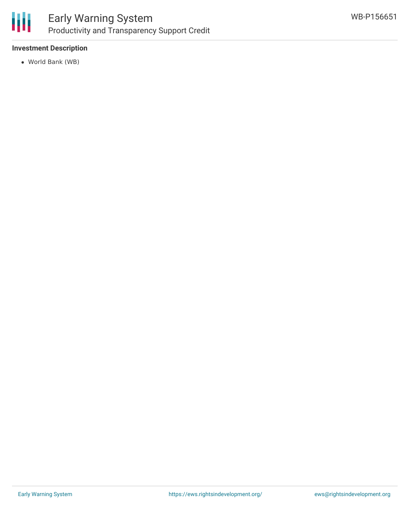

#### **Investment Description**

World Bank (WB)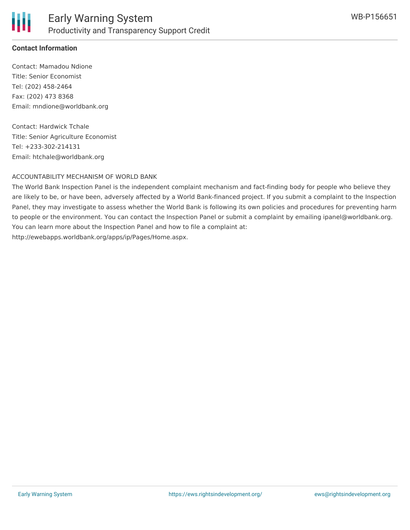

#### **Contact Information**

Contact: Mamadou Ndione Title: Senior Economist Tel: (202) 458-2464 Fax: (202) 473 8368 Email: mndione@worldbank.org

Contact: Hardwick Tchale Title: Senior Agriculture Economist Tel: +233-302-214131 Email: htchale@worldbank.org

#### ACCOUNTABILITY MECHANISM OF WORLD BANK

The World Bank Inspection Panel is the independent complaint mechanism and fact-finding body for people who believe they are likely to be, or have been, adversely affected by a World Bank-financed project. If you submit a complaint to the Inspection Panel, they may investigate to assess whether the World Bank is following its own policies and procedures for preventing harm to people or the environment. You can contact the Inspection Panel or submit a complaint by emailing ipanel@worldbank.org. You can learn more about the Inspection Panel and how to file a complaint at: http://ewebapps.worldbank.org/apps/ip/Pages/Home.aspx.